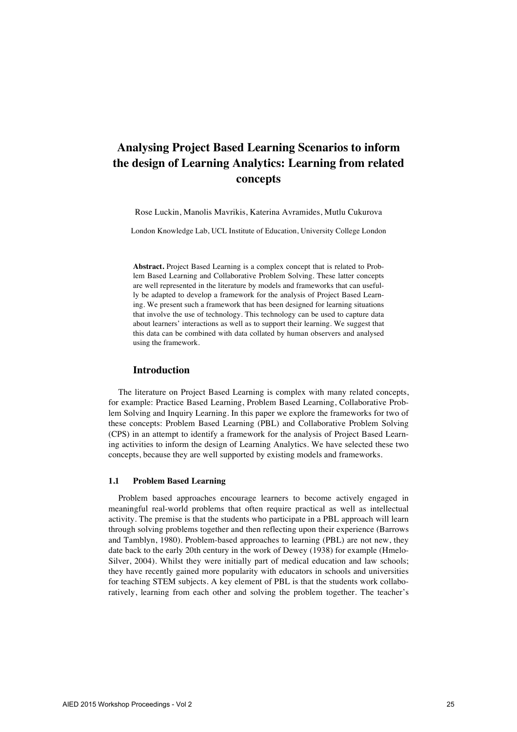# **Analysing Project Based Learning Scenarios to inform the design of Learning Analytics: Learning from related concepts**

Rose Luckin, Manolis Mavrikis, Katerina Avramides, Mutlu Cukurova

London Knowledge Lab, UCL Institute of Education, University College London

**Abstract.** Project Based Learning is a complex concept that is related to Problem Based Learning and Collaborative Problem Solving. These latter concepts are well represented in the literature by models and frameworks that can usefully be adapted to develop a framework for the analysis of Project Based Learning. We present such a framework that has been designed for learning situations that involve the use of technology. This technology can be used to capture data about learners' interactions as well as to support their learning. We suggest that this data can be combined with data collated by human observers and analysed using the framework.

### **Introduction**

The literature on Project Based Learning is complex with many related concepts, for example: Practice Based Learning, Problem Based Learning, Collaborative Problem Solving and Inquiry Learning. In this paper we explore the frameworks for two of these concepts: Problem Based Learning (PBL) and Collaborative Problem Solving (CPS) in an attempt to identify a framework for the analysis of Project Based Learning activities to inform the design of Learning Analytics. We have selected these two concepts, because they are well supported by existing models and frameworks.

### **1.1 Problem Based Learning**

Problem based approaches encourage learners to become actively engaged in meaningful real-world problems that often require practical as well as intellectual activity. The premise is that the students who participate in a PBL approach will learn through solving problems together and then reflecting upon their experience (Barrows and Tamblyn, 1980). Problem-based approaches to learning (PBL) are not new, they date back to the early 20th century in the work of Dewey (1938) for example (Hmelo-Silver, 2004). Whilst they were initially part of medical education and law schools; they have recently gained more popularity with educators in schools and universities for teaching STEM subjects. A key element of PBL is that the students work collaboratively, learning from each other and solving the problem together. The teacher's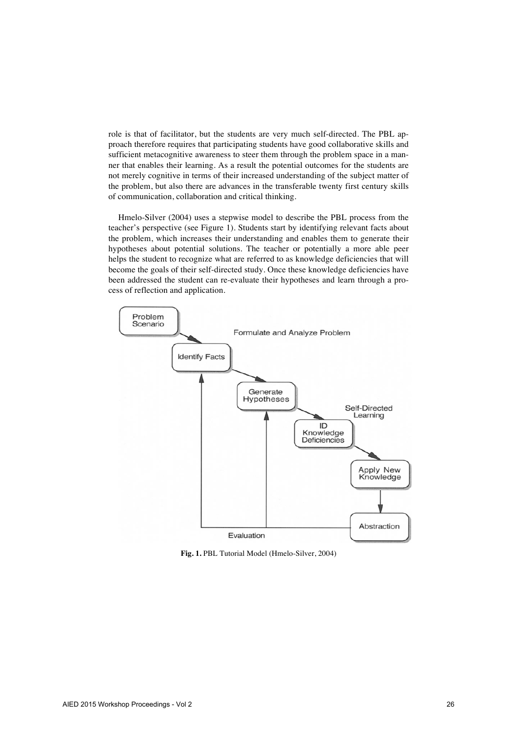role is that of facilitator, but the students are very much self-directed. The PBL approach therefore requires that participating students have good collaborative skills and sufficient metacognitive awareness to steer them through the problem space in a manner that enables their learning. As a result the potential outcomes for the students are not merely cognitive in terms of their increased understanding of the subject matter of the problem, but also there are advances in the transferable twenty first century skills of communication, collaboration and critical thinking.

Hmelo-Silver (2004) uses a stepwise model to describe the PBL process from the teacher's perspective (see Figure 1). Students start by identifying relevant facts about the problem, which increases their understanding and enables them to generate their hypotheses about potential solutions. The teacher or potentially a more able peer helps the student to recognize what are referred to as knowledge deficiencies that will become the goals of their self-directed study. Once these knowledge deficiencies have been addressed the student can re-evaluate their hypotheses and learn through a process of reflection and application.



**Fig. 1.** PBL Tutorial Model (Hmelo-Silver, 2004)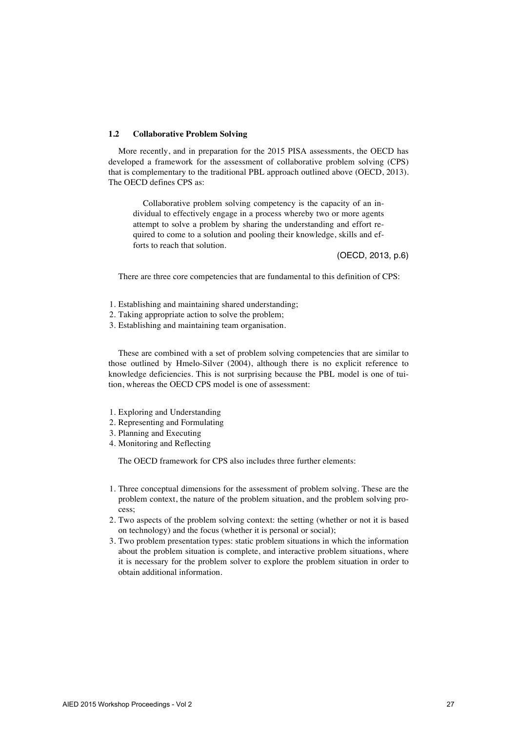#### **1.2 Collaborative Problem Solving**

More recently, and in preparation for the 2015 PISA assessments, the OECD has developed a framework for the assessment of collaborative problem solving (CPS) that is complementary to the traditional PBL approach outlined above (OECD, 2013). The OECD defines CPS as:

Collaborative problem solving competency is the capacity of an individual to effectively engage in a process whereby two or more agents attempt to solve a problem by sharing the understanding and effort required to come to a solution and pooling their knowledge, skills and efforts to reach that solution.

(OECD, 2013, p.6)

There are three core competencies that are fundamental to this definition of CPS:

- 1. Establishing and maintaining shared understanding;
- 2. Taking appropriate action to solve the problem;
- 3. Establishing and maintaining team organisation.

These are combined with a set of problem solving competencies that are similar to those outlined by Hmelo-Silver (2004), although there is no explicit reference to knowledge deficiencies. This is not surprising because the PBL model is one of tuition, whereas the OECD CPS model is one of assessment:

- 1. Exploring and Understanding
- 2. Representing and Formulating
- 3. Planning and Executing
- 4. Monitoring and Reflecting

The OECD framework for CPS also includes three further elements:

- 1. Three conceptual dimensions for the assessment of problem solving. These are the problem context, the nature of the problem situation, and the problem solving process;
- 2. Two aspects of the problem solving context: the setting (whether or not it is based on technology) and the focus (whether it is personal or social);
- 3. Two problem presentation types: static problem situations in which the information about the problem situation is complete, and interactive problem situations, where it is necessary for the problem solver to explore the problem situation in order to obtain additional information.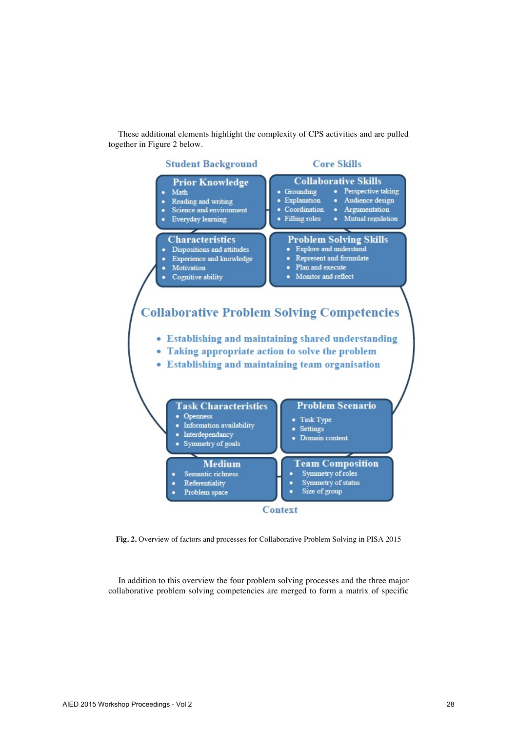These additional elements highlight the complexity of CPS activities and are pulled together in Figure 2 below.



**Fig. 2.** Overview of factors and processes for Collaborative Problem Solving in PISA 2015

In addition to this overview the four problem solving processes and the three major collaborative problem solving competencies are merged to form a matrix of specific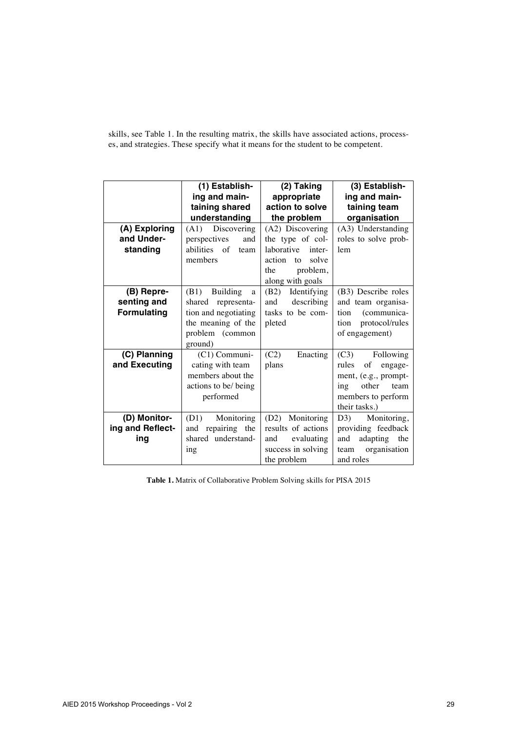skills, see Table 1. In the resulting matrix, the skills have associated actions, processes, and strategies. These specify what it means for the student to be competent.

|                    | (1) Establish-               | (2) Taking            | (3) Establish-                 |
|--------------------|------------------------------|-----------------------|--------------------------------|
|                    | ing and main-                | appropriate           | ing and main-                  |
|                    | taining shared               | action to solve       | taining team                   |
|                    | understanding                | the problem           | organisation                   |
| (A) Exploring      | Discovering<br>(A1)          | (A2) Discovering      | (A3) Understanding             |
| and Under-         | perspectives<br>and          | the type of col-      | roles to solve prob-           |
| standing           | abilities of<br>team         | laborative<br>inter-  | lem                            |
|                    | members                      | action<br>solve<br>to |                                |
|                    |                              | problem,<br>the       |                                |
|                    |                              | along with goals      |                                |
| (B) Repre-         | (B1)<br><b>Building</b><br>a | (B2)<br>Identifying   | (B3) Describe roles            |
| senting and        | representa-<br>shared        | describing<br>and     | and team organisa-             |
| <b>Formulating</b> | tion and negotiating         | tasks to be com-      | (communica-<br>tion            |
|                    | the meaning of the           | pleted                | protocol/rules<br>tion         |
|                    | problem (common              |                       | of engagement)                 |
|                    | ground)                      |                       |                                |
| (C) Planning       | $(C1)$ Communi-              | (C2)<br>Enacting      | (C3)<br>Following              |
| and Executing      | cating with team             | plans                 | rules<br>οf<br>engage-         |
|                    | members about the            |                       | ment, (e.g., prompt-           |
|                    | actions to be/ being         |                       | other<br>team<br>$\frac{1}{2}$ |
|                    | performed                    |                       | members to perform             |
|                    |                              |                       | their tasks.)                  |
| (D) Monitor-       | Monitoring<br>(D1)           | (D2) Monitoring       | D3)<br>Monitoring,             |
| ing and Reflect-   | repairing the<br>and         | results of actions    | providing feedback             |
| ing                | shared understand-           | evaluating<br>and     | adapting<br>and<br>the         |
|                    | ing                          | success in solving    | organisation<br>team           |
|                    |                              | the problem           | and roles                      |

**Table 1.** Matrix of Collaborative Problem Solving skills for PISA 2015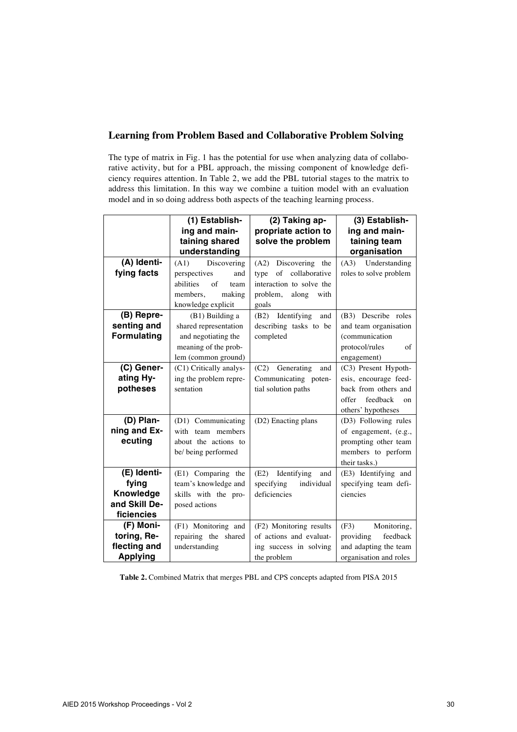## **Learning from Problem Based and Collaborative Problem Solving**

The type of matrix in Fig. 1 has the potential for use when analyzing data of collaborative activity, but for a PBL approach, the missing component of knowledge deficiency requires attention. In Table 2, we add the PBL tutorial stages to the matrix to address this limitation. In this way we combine a tuition model with an evaluation model and in so doing address both aspects of the teaching learning process.

|                    | (1) Establish-          | (2) Taking ap-              | (3) Establish-                     |
|--------------------|-------------------------|-----------------------------|------------------------------------|
|                    | ing and main-           | propriate action to         | ing and main-                      |
|                    | taining shared          | solve the problem           | taining team                       |
|                    | understanding           |                             | organisation                       |
| (A) Identi-        | Discovering<br>(A1)     | Discovering<br>(A2)<br>the  | Understanding<br>(A3)              |
| fying facts        | perspectives<br>and     | collaborative<br>of<br>type | roles to solve problem             |
|                    | abilities<br>of<br>team | interaction to solve the    |                                    |
|                    | members.<br>making      | problem,<br>along<br>with   |                                    |
|                    | knowledge explicit      | goals                       |                                    |
| (B) Repre-         | (B1) Building a         | Identifying<br>(B2)<br>and  | (B3) Describe roles                |
| senting and        | shared representation   | describing tasks to be      | and team organisation              |
| <b>Formulating</b> | and negotiating the     | completed                   | (communication                     |
|                    | meaning of the prob-    |                             | protocol/rules<br>of               |
|                    | lem (common ground)     |                             | engagement)                        |
| (C) Gener-         | (C1) Critically analys- | (C2)<br>Generating<br>and   | (C3) Present Hypoth-               |
| ating Hy-          | ing the problem repre-  | Communicating poten-        | esis, encourage feed-              |
| potheses           | sentation               | tial solution paths         | back from others and               |
|                    |                         |                             | feedback<br>offer<br><sub>on</sub> |
|                    |                         |                             | others' hypotheses                 |
| (D) Plan-          | (D1) Communicating      | (D2) Enacting plans         | (D3) Following rules               |
| ning and Ex-       | with team members       |                             | of engagement, (e.g.,              |
| ecuting            | about the actions to    |                             | prompting other team               |
|                    | be/ being performed     |                             | members to perform                 |
|                    |                         |                             | their tasks.)                      |
| (E) Identi-        | (E1) Comparing the      | (E2)<br>Identifying<br>and  | (E3) Identifying and               |
| fying              | team's knowledge and    | specifying<br>individual    | specifying team defi-              |
| Knowledge          | skills with the pro-    | deficiencies                | ciencies                           |
| and Skill De-      | posed actions           |                             |                                    |
| ficiencies         |                         |                             |                                    |
| (F) Moni-          | (F1) Monitoring and     | (F2) Monitoring results     | (F3)<br>Monitoring,                |
| toring, Re-        | repairing the shared    | of actions and evaluat-     | feedback<br>providing              |
| flecting and       | understanding           | ing success in solving      | and adapting the team              |
| <b>Applying</b>    |                         | the problem                 | organisation and roles             |

**Table 2.** Combined Matrix that merges PBL and CPS concepts adapted from PISA 2015